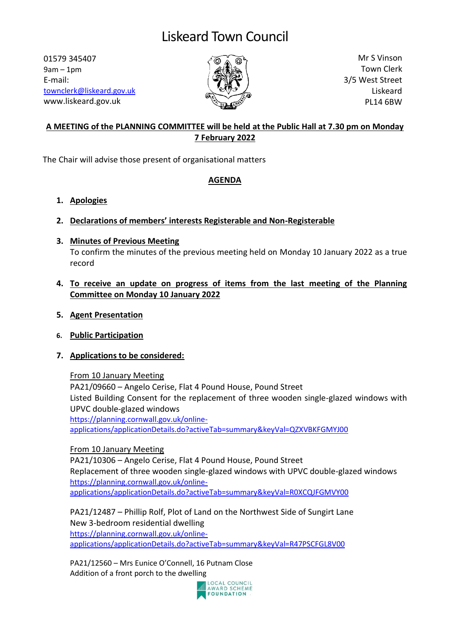01579 345407 9am – 1pm E-mail: [townclerk@liskeard.gov.uk](mailto:townclerk@liskeard.gov.uk) www.liskeard.gov.uk



Mr S Vinson Town Clerk 3/5 West Street Liskeard PL14 6BW

# **A MEETING of the PLANNING COMMITTEE will be held at the Public Hall at 7.30 pm on Monday 7 February 2022**

The Chair will advise those present of organisational matters

## **AGENDA**

- **1. Apologies**
- **2. Declarations of members' interests Registerable and Non-Registerable**

#### **3. Minutes of Previous Meeting** To confirm the minutes of the previous meeting held on Monday 10 January 2022 as a true record

## **4. To receive an update on progress of items from the last meeting of the Planning Committee on Monday 10 January 2022**

- **5. Agent Presentation**
- **6. Public Participation**

# **7. Applications to be considered:**

From 10 January Meeting

PA21/09660 – Angelo Cerise, Flat 4 Pound House, Pound Street Listed Building Consent for the replacement of three wooden single-glazed windows with UPVC double-glazed windows [https://planning.cornwall.gov.uk/online](https://planning.cornwall.gov.uk/online-applications/applicationDetails.do?activeTab=summary&keyVal=QZXVBKFGMYJ00)[applications/applicationDetails.do?activeTab=summary&keyVal=QZXVBKFGMYJ00](https://planning.cornwall.gov.uk/online-applications/applicationDetails.do?activeTab=summary&keyVal=QZXVBKFGMYJ00)

From 10 January Meeting PA21/10306 – Angelo Cerise, Flat 4 Pound House, Pound Street Replacement of three wooden single-glazed windows with UPVC double-glazed windows [https://planning.cornwall.gov.uk/online](https://planning.cornwall.gov.uk/online-applications/applicationDetails.do?activeTab=summary&keyVal=R0XCQJFGMVY00)[applications/applicationDetails.do?activeTab=summary&keyVal=R0XCQJFGMVY00](https://planning.cornwall.gov.uk/online-applications/applicationDetails.do?activeTab=summary&keyVal=R0XCQJFGMVY00)

PA21/12487 – Phillip Rolf, Plot of Land on the Northwest Side of Sungirt Lane New 3-bedroom residential dwelling [https://planning.cornwall.gov.uk/online](https://planning.cornwall.gov.uk/online-applications/applicationDetails.do?activeTab=summary&keyVal=R47PSCFGL8V00)[applications/applicationDetails.do?activeTab=summary&keyVal=R47PSCFGL8V00](https://planning.cornwall.gov.uk/online-applications/applicationDetails.do?activeTab=summary&keyVal=R47PSCFGL8V00)

PA21/12560 – Mrs Eunice O'Connell, 16 Putnam Close Addition of a front porch to the dwelling

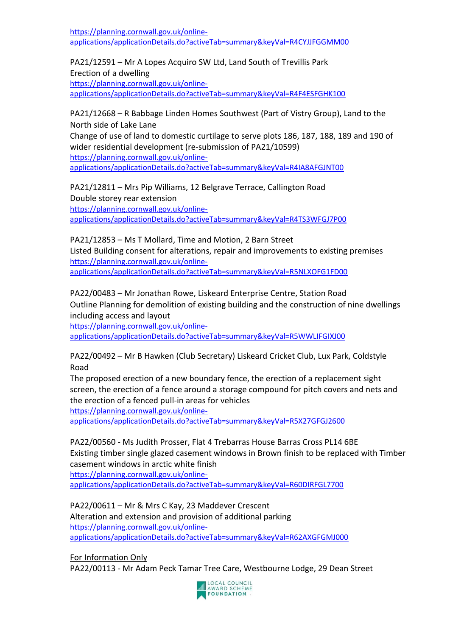[https://planning.cornwall.gov.uk/online](https://planning.cornwall.gov.uk/online-applications/applicationDetails.do?activeTab=summary&keyVal=R4CYJJFGGMM00)[applications/applicationDetails.do?activeTab=summary&keyVal=R4CYJJFGGMM00](https://planning.cornwall.gov.uk/online-applications/applicationDetails.do?activeTab=summary&keyVal=R4CYJJFGGMM00)

PA21/12591 – Mr A Lopes Acquiro SW Ltd, Land South of Trevillis Park Erection of a dwelling [https://planning.cornwall.gov.uk/online](https://planning.cornwall.gov.uk/online-applications/applicationDetails.do?activeTab=summary&keyVal=R4F4ESFGHK100)[applications/applicationDetails.do?activeTab=summary&keyVal=R4F4ESFGHK100](https://planning.cornwall.gov.uk/online-applications/applicationDetails.do?activeTab=summary&keyVal=R4F4ESFGHK100)

PA21/12668 – R Babbage Linden Homes Southwest (Part of Vistry Group), Land to the North side of Lake Lane

Change of use of land to domestic curtilage to serve plots 186, 187, 188, 189 and 190 of wider residential development (re-submission of PA21/10599) [https://planning.cornwall.gov.uk/online](https://planning.cornwall.gov.uk/online-applications/applicationDetails.do?activeTab=summary&keyVal=R4IA8AFGJNT00)[applications/applicationDetails.do?activeTab=summary&keyVal=R4IA8AFGJNT00](https://planning.cornwall.gov.uk/online-applications/applicationDetails.do?activeTab=summary&keyVal=R4IA8AFGJNT00)

PA21/12811 – Mrs Pip Williams, 12 Belgrave Terrace, Callington Road Double storey rear extension [https://planning.cornwall.gov.uk/online](https://planning.cornwall.gov.uk/online-applications/applicationDetails.do?activeTab=summary&keyVal=R4TS3WFGJ7P00)[applications/applicationDetails.do?activeTab=summary&keyVal=R4TS3WFGJ7P00](https://planning.cornwall.gov.uk/online-applications/applicationDetails.do?activeTab=summary&keyVal=R4TS3WFGJ7P00)

PA21/12853 – Ms T Mollard, Time and Motion, 2 Barn Street Listed Building consent for alterations, repair and improvements to existing premises [https://planning.cornwall.gov.uk/online](https://planning.cornwall.gov.uk/online-applications/applicationDetails.do?activeTab=summary&keyVal=R5NLXOFG1FD00)[applications/applicationDetails.do?activeTab=summary&keyVal=R5NLXOFG1FD00](https://planning.cornwall.gov.uk/online-applications/applicationDetails.do?activeTab=summary&keyVal=R5NLXOFG1FD00)

PA22/00483 – Mr Jonathan Rowe, Liskeard Enterprise Centre, Station Road Outline Planning for demolition of existing building and the construction of nine dwellings including access and layout

[https://planning.cornwall.gov.uk/online-](https://planning.cornwall.gov.uk/online-applications/applicationDetails.do?activeTab=summary&keyVal=R5WWLIFGIXJ00)

[applications/applicationDetails.do?activeTab=summary&keyVal=R5WWLIFGIXJ00](https://planning.cornwall.gov.uk/online-applications/applicationDetails.do?activeTab=summary&keyVal=R5WWLIFGIXJ00)

PA22/00492 – Mr B Hawken (Club Secretary) Liskeard Cricket Club, Lux Park, Coldstyle Road

The proposed erection of a new boundary fence, the erection of a replacement sight screen, the erection of a fence around a storage compound for pitch covers and nets and the erection of a fenced pull-in areas for vehicles

[https://planning.cornwall.gov.uk/online-](https://planning.cornwall.gov.uk/online-applications/applicationDetails.do?activeTab=summary&keyVal=R5X27GFGJ2600)

[applications/applicationDetails.do?activeTab=summary&keyVal=R5X27GFGJ2600](https://planning.cornwall.gov.uk/online-applications/applicationDetails.do?activeTab=summary&keyVal=R5X27GFGJ2600)

PA22/00560 - Ms Judith Prosser, Flat 4 Trebarras House Barras Cross PL14 6BE Existing timber single glazed casement windows in Brown finish to be replaced with Timber casement windows in arctic white finish [https://planning.cornwall.gov.uk/online-](https://planning.cornwall.gov.uk/online-applications/applicationDetails.do?activeTab=summary&keyVal=R60DIRFGL7700)

[applications/applicationDetails.do?activeTab=summary&keyVal=R60DIRFGL7700](https://planning.cornwall.gov.uk/online-applications/applicationDetails.do?activeTab=summary&keyVal=R60DIRFGL7700)

PA22/00611 – Mr & Mrs C Kay, 23 Maddever Crescent Alteration and extension and provision of additional parking [https://planning.cornwall.gov.uk/online](https://planning.cornwall.gov.uk/online-applications/applicationDetails.do?activeTab=summary&keyVal=R62AXGFGMJ000)[applications/applicationDetails.do?activeTab=summary&keyVal=R62AXGFGMJ000](https://planning.cornwall.gov.uk/online-applications/applicationDetails.do?activeTab=summary&keyVal=R62AXGFGMJ000)

For Information Only

PA22/00113 - Mr Adam Peck Tamar Tree Care, Westbourne Lodge, 29 Dean Street